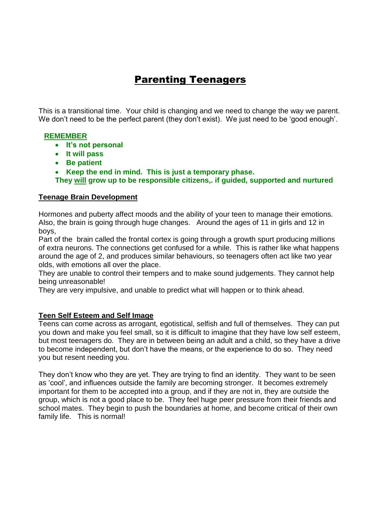# Parenting Teenagers

This is a transitional time. Your child is changing and we need to change the way we parent. We don't need to be the perfect parent (they don't exist). We just need to be 'good enough'.

#### **REMEMBER**

- **It's not personal**
- **It will pass**
- **Be patient**
- **Keep the end in mind. This is just a temporary phase.**

**They will grow up to be responsible citizens,. if guided, supported and nurtured**

#### **Teenage Brain Development**

Hormones and puberty affect moods and the ability of your teen to manage their emotions. Also, the brain is going through huge changes. Around the ages of 11 in girls and 12 in boys,

Part of the brain called the frontal cortex is going through a growth spurt producing millions of extra neurons. The connections get confused for a while. This is rather like what happens around the age of 2, and produces similar behaviours, so teenagers often act like two year olds, with emotions all over the place.

They are unable to control their tempers and to make sound judgements. They cannot help being unreasonable!

They are very impulsive, and unable to predict what will happen or to think ahead.

#### **Teen Self Esteem and Self Image**

Teens can come across as arrogant, egotistical, selfish and full of themselves. They can put you down and make you feel small, so it is difficult to imagine that they have low self esteem, but most teenagers do. They are in between being an adult and a child, so they have a drive to become independent, but don't have the means, or the experience to do so. They need you but resent needing you.

They don't know who they are yet. They are trying to find an identity. They want to be seen as 'cool', and influences outside the family are becoming stronger. It becomes extremely important for them to be accepted into a group, and if they are not in, they are outside the group, which is not a good place to be. They feel huge peer pressure from their friends and school mates. They begin to push the boundaries at home, and become critical of their own family life. This is normal!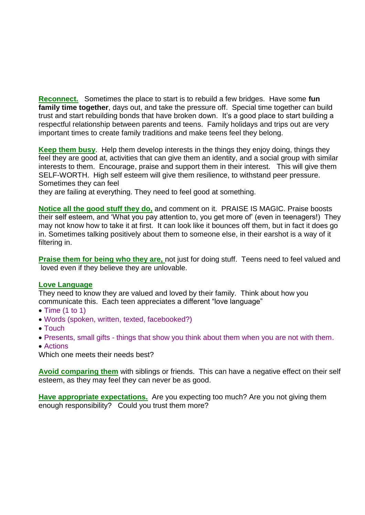**Reconnect.** Sometimes the place to start is to rebuild a few bridges. Have some **fun family time together**, days out, and take the pressure off. Special time together can build trust and start rebuilding bonds that have broken down. It's a good place to start building a respectful relationship between parents and teens. Family holidays and trips out are very important times to create family traditions and make teens feel they belong.

**Keep them busy**. Help them develop interests in the things they enjoy doing, things they feel they are good at, activities that can give them an identity, and a social group with similar interests to them. Encourage, praise and support them in their interest. This will give them SELF-WORTH. High self esteem will give them resilience, to withstand peer pressure. Sometimes they can feel

they are failing at everything. They need to feel good at something.

**Notice all the good stuff they do,** and comment on it. PRAISE IS MAGIC. Praise boosts their self esteem, and 'What you pay attention to, you get more of' (even in teenagers!) They may not know how to take it at first. It can look like it bounces off them, but in fact it does go in. Sometimes talking positively about them to someone else, in their earshot is a way of it filtering in.

**Praise them for being who they are,** not just for doing stuff. Teens need to feel valued and loved even if they believe they are unlovable.

#### **Love Language**

They need to know they are valued and loved by their family. Think about how you communicate this. Each teen appreciates a different "love language"

- $\bullet$  Time (1 to 1)
- Words (spoken, written, texted, facebooked?)
- Touch
- Presents, small gifts things that show you think about them when you are not with them.
- Actions

Which one meets their needs best?

**Avoid comparing them** with siblings or friends. This can have a negative effect on their self esteem, as they may feel they can never be as good.

**Have appropriate expectations.** Are you expecting too much? Are you not giving them enough responsibility? Could you trust them more?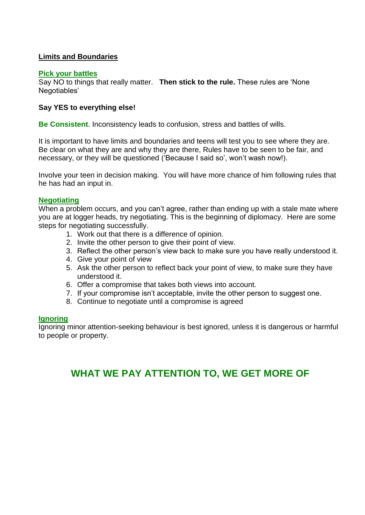#### **Limits and Boundaries**

#### **Pick your battles**

Say NO to things that really matter. **Then stick to the rule.** These rules are 'None Negotiables'

#### **Say YES to everything else!**

**Be Consistent**. Inconsistency leads to confusion, stress and battles of wills.

It is important to have limits and boundaries and teens will test you to see where they are. Be clear on what they are and why they are there, Rules have to be seen to be fair, and necessary, or they will be questioned ('Because I said so', won't wash now!).

Involve your teen in decision making. You will have more chance of him following rules that he has had an input in.

#### **Negotiating**

When a problem occurs, and you can't agree, rather than ending up with a stale mate where you are at logger heads, try negotiating. This is the beginning of diplomacy. Here are some steps for negotiating successfully.

- 1. Work out that there is a difference of opinion.
- 2. Invite the other person to give their point of view.
- 3. Reflect the other person's view back to make sure you have really understood it.
- 4. Give your point of view
- 5. Ask the other person to reflect back your point of view, to make sure they have understood it.
- 6. Offer a compromise that takes both views into account.
- 7. If your compromise isn't acceptable, invite the other person to suggest one.
- 8. Continue to negotiate until a compromise is agreed

#### **Ignoring**

Ignoring minor attention-seeking behaviour is best ignored, unless it is dangerous or harmful to people or property.

## **WHAT WE PAY ATTENTION TO, WE GET MORE OF**